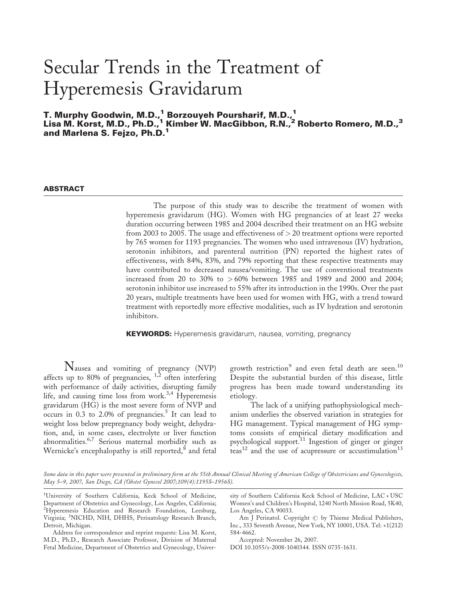# Secular Trends in the Treatment of Hyperemesis Gravidarum

T. Murphy Goodwin, M.D., $^1$  Borzouyeh Poursharif, M.D., $^1$ Lisa M. Korst, M.D., Ph.D., $^1$  Kimber W. MacGibbon, R.N., $^2$  Roberto Romero, M.D., $^3$ and Marlena S. Fejzo, Ph.D.<sup>1</sup>

## **ABSTRACT**

The purpose of this study was to describe the treatment of women with hyperemesis gravidarum (HG). Women with HG pregnancies of at least 27 weeks duration occurring between 1985 and 2004 described their treatment on an HG website from 2003 to 2005. The usage and effectiveness of  $>$  20 treatment options were reported by 765 women for 1193 pregnancies. The women who used intravenous (IV) hydration, serotonin inhibitors, and parenteral nutrition (PN) reported the highest rates of effectiveness, with 84%, 83%, and 79% reporting that these respective treatments may have contributed to decreased nausea/vomiting. The use of conventional treatments increased from 20 to 30% to  $>60\%$  between 1985 and 1989 and 2000 and 2004; serotonin inhibitor use increased to 55% after its introduction in the 1990s. Over the past 20 years, multiple treatments have been used for women with HG, with a trend toward treatment with reportedly more effective modalities, such as IV hydration and serotonin inhibitors.

**KEYWORDS:** Hyperemesis gravidarum, nausea, vomiting, pregnancy

Nausea and vomiting of pregnancy (NVP) affects up to 80% of pregnancies,  $1,2$  often interfering with performance of daily activities, disrupting family life, and causing time loss from work.<sup>3,4</sup> Hyperemesis gravidarum (HG) is the most severe form of NVP and occurs in 0.3 to 2.0% of pregnancies.<sup>5</sup> It can lead to weight loss below prepregnancy body weight, dehydration, and, in some cases, electrolyte or liver function abnormalities.6,7 Serious maternal morbidity such as Wernicke's encephalopathy is still reported,<sup>8</sup> and fetal

growth restriction<sup>9</sup> and even fetal death are seen.<sup>10</sup> Despite the substantial burden of this disease, little progress has been made toward understanding its etiology.

The lack of a unifying pathophysiological mechanism underlies the observed variation in strategies for HG management. Typical management of HG symptoms consists of empirical dietary modification and psychological support.<sup>11</sup> Ingestion of ginger or ginger teas<sup>12</sup> and the use of acupressure or accustimulation<sup>13</sup>

Some data in this paper were presented in preliminary form at the 55th Annual Clinical Meeting of American College of Obstetricians and Gynecologists, May 5–9, 2007, San Diego, CA (Obstet Gynecol 2007;109(4):1195S–1956S).

Address for correspondence and reprint requests: Lisa M. Korst, M.D., Ph.D., Research Associate Professor, Division of Maternal Fetal Medicine, Department of Obstetrics and Gynecology, Univer-

sity of Southern California Keck School of Medicine, LAC + USC Women's and Children's Hospital, 1240 North Mission Road, 5K40, Los Angeles, CA 90033.

Am J Perinatol. Copyright  $\odot$  by Thieme Medical Publishers, Inc., 333 Seventh Avenue, New York, NY 10001, USA. Tel: +1(212) 584-4662.

Accepted: November 26, 2007.

DOI 10.1055/s-2008-1040344. ISSN 0735-1631.

<sup>&</sup>lt;sup>1</sup>University of Southern California, Keck School of Medicine, Department of Obstetrics and Gynecology, Los Angeles, California; <sup>2</sup> <sup>2</sup>Hyperemesis Education and Research Foundation, Leesburg, Virginia; <sup>3</sup>NICHD, NIH, DHHS, Perinatology Research Branch, Detroit, Michigan.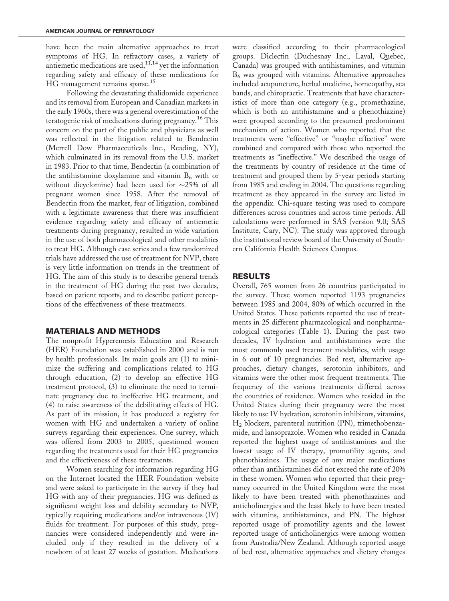have been the main alternative approaches to treat symptoms of HG. In refractory cases, a variety of antiemetic medications are used, $1^{1,14}$  yet the information regarding safety and efficacy of these medications for HG management remains sparse.<sup>15</sup>

Following the devastating thalidomide experience and its removal from European and Canadian markets in the early 1960s, there was a general overestimation of the teratogenic risk of medications during pregnancy. <sup>16</sup> This concern on the part of the public and physicians as well was reflected in the litigation related to Bendectin (Merrell Dow Pharmaceuticals Inc., Reading, NY), which culminated in its removal from the U.S. market in 1983. Prior to that time, Bendectin (a combination of the antihistamine doxylamine and vitamin  $B_6$  with or without dicyclomine) had been used for  $\sim$ 25% of all pregnant women since 1958. After the removal of Bendectin from the market, fear of litigation, combined with a legitimate awareness that there was insufficient evidence regarding safety and efficacy of antiemetic treatments during pregnancy, resulted in wide variation in the use of both pharmacological and other modalities to treat HG. Although case series and a few randomized trials have addressed the use of treatment for NVP, there is very little information on trends in the treatment of HG. The aim of this study is to describe general trends in the treatment of HG during the past two decades, based on patient reports, and to describe patient perceptions of the effectiveness of these treatments.

# MATERIALS AND METHODS

The nonprofit Hyperemesis Education and Research (HER) Foundation was established in 2000 and is run by health professionals. Its main goals are (1) to minimize the suffering and complications related to HG through education, (2) to develop an effective HG treatment protocol, (3) to eliminate the need to terminate pregnancy due to ineffective HG treatment, and (4) to raise awareness of the debilitating effects of HG. As part of its mission, it has produced a registry for women with HG and undertaken a variety of online surveys regarding their experiences. One survey, which was offered from 2003 to 2005, questioned women regarding the treatments used for their HG pregnancies and the effectiveness of these treatments.

Women searching for information regarding HG on the Internet located the HER Foundation website and were asked to participate in the survey if they had HG with any of their pregnancies. HG was defined as significant weight loss and debility secondary to NVP, typically requiring medications and/or intravenous (IV) fluids for treatment. For purposes of this study, pregnancies were considered independently and were included only if they resulted in the delivery of a newborn of at least 27 weeks of gestation. Medications

were classified according to their pharmacological groups. Diclectin (Duchesnay Inc., Laval, Quebec, Canada) was grouped with antihistamines, and vitamin  $B<sub>6</sub>$  was grouped with vitamins. Alternative approaches included acupuncture, herbal medicine, homeopathy, sea bands, and chiropractic. Treatments that have characteristics of more than one category (e.g., promethazine, which is both an antihistamine and a phenothiazine) were grouped according to the presumed predominant mechanism of action. Women who reported that the treatments were ''effective'' or ''maybe effective'' were combined and compared with those who reported the treatments as ''ineffective.'' We described the usage of the treatments by country of residence at the time of treatment and grouped them by 5-year periods starting from 1985 and ending in 2004. The questions regarding treatment as they appeared in the survey are listed in the appendix. Chi-square testing was used to compare differences across countries and across time periods. All calculations were performed in SAS (version 9.0; SAS Institute, Cary, NC). The study was approved through the institutional review board of the University of Southern California Health Sciences Campus.

# RESULTS

Overall, 765 women from 26 countries participated in the survey. These women reported 1193 pregnancies between 1985 and 2004, 80% of which occurred in the United States. These patients reported the use of treatments in 25 different pharmacological and nonpharmacological categories (Table 1). During the past two decades, IV hydration and antihistamines were the most commonly used treatment modalities, with usage in 6 out of 10 pregnancies. Bed rest, alternative approaches, dietary changes, serotonin inhibitors, and vitamins were the other most frequent treatments. The frequency of the various treatments differed across the countries of residence. Women who resided in the United States during their pregnancy were the most likely to use IV hydration, serotonin inhibitors, vitamins, H2 blockers, parenteral nutrition (PN), trimethobenzamide, and lansoprazole. Women who resided in Canada reported the highest usage of antihistamines and the lowest usage of IV therapy, promotility agents, and phenothiazines. The usage of any major medications other than antihistamines did not exceed the rate of 20% in these women. Women who reported that their pregnancy occurred in the United Kingdom were the most likely to have been treated with phenothiazines and anticholinergics and the least likely to have been treated with vitamins, antihistamines, and PN. The highest reported usage of promotility agents and the lowest reported usage of anticholinergics were among women from Australia/New Zealand. Although reported usage of bed rest, alternative approaches and dietary changes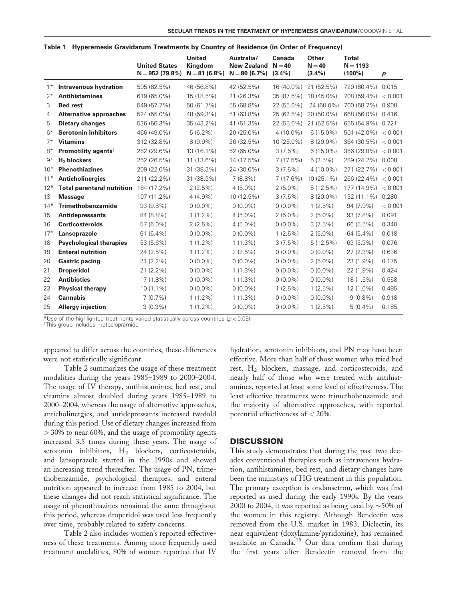|  | Table 1 Hyperemesis Gravidarum Treatments by Country of Residence (in Order of Frequency) |  |  |  |
|--|-------------------------------------------------------------------------------------------|--|--|--|
|--|-------------------------------------------------------------------------------------------|--|--|--|

|       |                                        | <b>United States</b><br>$N = 952(79.8%)$ | <b>United</b><br><b>Kingdom</b><br>$N = 81(6.8%)$ | Australia/<br><b>New Zealand</b><br>$N = 80(6.7%)$ | Canada<br>$N = 40$<br>$(3.4\%)$ | <b>Other</b><br>$N = 40$<br>$(3.4\%)$ | <b>Total</b><br>$N = 1193$<br>$(100\%)$ | $\boldsymbol{p}$ |
|-------|----------------------------------------|------------------------------------------|---------------------------------------------------|----------------------------------------------------|---------------------------------|---------------------------------------|-----------------------------------------|------------------|
| $1*$  | <b>Intravenous hydration</b>           | 595 (62.5%)                              | 46 (56.8%)                                        | 42 (52.5%)                                         | 16 (40.0%)                      | 21 (52.5%)                            | 720 (60.4%)                             | 0.015            |
| $2*$  | <b>Antihistamines</b>                  | 619 (65.0%)                              | 15 (18.5%)                                        | 21 (26.3%)                                         | 35 (87.5%)                      | 18 (45.0%)                            | $708(59.4\%) < 0.001$                   |                  |
| 3     | <b>Bed rest</b>                        | 549 (57.7%)                              | 50 (61.7%)                                        | 55 (68.8%)                                         | 22 (55.0%)                      | 24 (60.0%)                            | 700 (58.7%)                             | 0.900            |
| 4     | <b>Alternative approaches</b>          | 524 (55.0%)                              | 48 (59.3%)                                        | 51 (63.8%)                                         | 25 (62.5%)                      | 20 (50.0%)                            | 668 (56.0%)                             | 0.416            |
| 5     | <b>Dietary changes</b>                 | 536 (56.3%)                              | 35 (43.2%)                                        | 41 (51.3%)                                         | 22 (55.0%)                      | 21 (52.5%)                            | 655 (54.9%)                             | 0.721            |
| $6*$  | <b>Serotonin inhibitors</b>            | 466 (49.0%)                              | $5(6.2\%)$                                        | 20 (25.0%)                                         | $4(10.0\%)$                     | $6(15.0\%)$                           | 501 (42.0%) $< 0.001$                   |                  |
| $7*$  | <b>Vitamins</b>                        | 312 (32.8%)                              | $8(9.9\%)$                                        | 26 (32.5%)                                         | 10 (25.0%)                      | $8(20.0\%)$                           | 364 (30.5%)                             | < 0.001          |
| $8*$  | <b>Promotility agents</b>              | 282 (29.6%)                              | 13 (16.1%)                                        | 52 (65.0%)                                         | 3(7.5%)                         | $6(15.0\%)$                           | 356 (29.8%)                             | < 0.001          |
| $9*$  | $H_2$ blockers                         | 252 (26.5%)                              | 11 (13.6%)                                        | 14 (17.5%)                                         | 7(17.5%)                        | 5(2.5%)                               | 289 (24.2%)                             | 0.008            |
| $10*$ | <b>Phenothiazines</b>                  | 209 (22.0%)                              | 31 (38.3%)                                        | 24 (30.0%)                                         | 3(7.5%)                         | 4 (10.0%)                             | 271(22.7%) < 0.001                      |                  |
| $11*$ | <b>Anticholinergics</b>                | 211 (22.2%)                              | 31 (38.3%)                                        | $7(8.8\%)$                                         | 7(17.6%)                        | $10(25.1\%)$                          | 266 (22.4%)                             | < 0.001          |
| $12*$ | Total parenteral nutrition 164 (17.2%) |                                          | $2(2.5\%)$                                        | $4(5.0\%)$                                         | $2(5.0\%)$                      | 5(12.5%)                              | 177 (14.9%)                             | < 0.001          |
| 13    | <b>Massage</b>                         | 107 (11.2%)                              | $4(4.9\%)$                                        | 10 (12.5%)                                         | 3(7.5%)                         | $8(20.0\%)$                           | 132 (11.1%)                             | 0.280            |
| $14*$ | Trimethobenzamide                      | 93 (9.8%)                                | $0(0.0\%)$                                        | $0(0.0\%)$                                         | $0(0.0\%)$                      | $1(2.5\%)$                            | 94 (7.9%)                               | < 0.001          |
| 15    | <b>Antidepressants</b>                 | 84 (8.8%)                                | $1(1.2\%)$                                        | $4(5.0\%)$                                         | $2(5.0\%)$                      | $2(5.0\%)$                            | 93 (7.8%)                               | 0.091            |
| 16    | <b>Corticosteroids</b>                 | 57 (6.0%)                                | $2(2.5\%)$                                        | $4(5.0\%)$                                         | $0(0.0\%)$                      | 3(7.5%)                               | 66 (5.5%)                               | 0.340            |
| $17*$ | Lansoprazole                           | $61(6.4\%)$                              | $0(0.0\%)$                                        | $0(0.0\%)$                                         | $1(2.5\%)$                      | $2(5.0\%)$                            | 64 (5.4%)                               | 0.018            |
| 18    | <b>Psychological therapies</b>         | 53 (5.6%)                                | $1(1.2\%)$                                        | $1(1.3\%)$                                         | 3(7.5%)                         | 5(12.5%)                              | 63 (5.3%)                               | 0.076            |
| 19    | <b>Enteral nutrition</b>               | 24 (2.5%)                                | $1(1.2\%)$                                        | $2(2.5\%)$                                         | $0(0.0\%)$                      | $0(0.0\%)$                            | 27 (2.3%)                               | 0.636            |
| 20    | <b>Gastric pacing</b>                  | $21(2.2\%)$                              | $0(0.0\%)$                                        | $0(0.0\%)$                                         | $0(0.0\%)$                      | $2(5.0\%)$                            | 23 (1.9%)                               | 0.175            |
| 21    | <b>Droperidol</b>                      | $21(2.2\%)$                              | $0(0.0\%)$                                        | $1(1.3\%)$                                         | $0(0.0\%)$                      | $0(0.0\%)$                            | 22 (1.9%)                               | 0.424            |
| 22    | <b>Antibiotics</b>                     | 17 (1.8%)                                | $0(0.0\%)$                                        | $1(1.3\%)$                                         | $0(0.0\%)$                      | $0(0.0\%)$                            | 18 (1.5%)                               | 0.558            |
| 23    | <b>Physical therapy</b>                | $10(1.1\%)$                              | $0(0.0\%)$                                        | $0(0.0\%)$                                         | $1(2.5\%)$                      | $1(2.5\%)$                            | 12 (1.0%)                               | 0.485            |
| 24    | <b>Cannabis</b>                        | 7(0.7%)                                  | $1(1.2\%)$                                        | $1(1.3\%)$                                         | $0(0.0\%)$                      | $0(0.0\%)$                            | $9(0.8\%)$                              | 0.918            |
| 25    | <b>Allergy injection</b>               | $3(0.3\%)$                               | $1(1.2\%)$                                        | $0(0.0\%)$                                         | $0(0.0\%)$                      | $1(2.5\%)$                            | $5(0.4\%)$                              | 0.185            |
|       |                                        |                                          |                                                   |                                                    |                                 |                                       |                                         |                  |

\*Use of the highlighted treatments varied statistically across countries ( $p < 0.05$ )

<sup>†</sup>This group includes metoclopramide

appeared to differ across the countries, these differences were not statistically significant.

Table 2 summarizes the usage of these treatment modalities during the years 1985–1989 to 2000–2004. The usage of IV therapy, antihistamines, bed rest, and vitamins almost doubled during years 1985–1989 to 2000–2004, whereas the usage of alternative approaches, anticholinergics, and antidepressants increased twofold during this period. Use of dietary changes increased from  $> 30\%$  to near 60%, and the usage of promotility agents increased 3.5 times during these years. The usage of serotonin inhibitors, H<sub>2</sub> blockers, corticosteroids, and lansoprazole started in the 1990s and showed an increasing trend thereafter. The usage of PN, trimethobenzamide, psychological therapies, and enteral nutrition appeared to increase from 1985 to 2004, but these changes did not reach statistical significance. The usage of phenothiazines remained the same throughout this period, whereas droperidol was used less frequently over time, probably related to safety concerns.

Table 2 also includes women's reported effectiveness of these treatments. Among more frequently used treatment modalities, 80% of women reported that IV hydration, serotonin inhibitors, and PN may have been effective. More than half of those women who tried bed rest,  $H_2$  blockers, massage, and corticosteroids, and nearly half of those who were treated with antihistamines, reported at least some level of effectiveness. The least effective treatments were trimethobenzamide and the majority of alternative approaches, with reported potential effectiveness of < 20%.

# **DISCUSSION**

This study demonstrates that during the past two decades conventional therapies such as intravenous hydration, antihistamines, bed rest, and dietary changes have been the mainstays of HG treatment in this population. The primary exception is ondansetron, which was first reported as used during the early 1990s. By the years 2000 to 2004, it was reported as being used by  $\sim$  50% of the women in this registry. Although Bendectin was removed from the U.S. market in 1983, Diclectin, its near equivalent (doxylamine/pyridoxine), has remained available in Canada.<sup>15</sup> Our data confirm that during the first years after Bendectin removal from the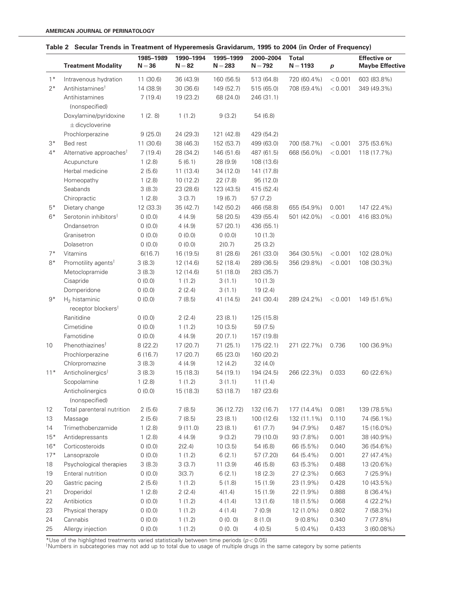|  |  |  |  | Table 2 Secular Trends in Treatment of Hyperemesis Gravidarum, 1995 to 2004 (in Order of Frequency) |  |  |  |  |  |
|--|--|--|--|-----------------------------------------------------------------------------------------------------|--|--|--|--|--|
|--|--|--|--|-----------------------------------------------------------------------------------------------------|--|--|--|--|--|

|       | <b>Treatment Modality</b>                    | 1985-1989<br>$N = 36$ | 1990-1994<br>$N = 82$ | 1995-1999<br>$N = 283$ | 2000-2004<br>$N = 792$ | <b>Total</b><br>$N = 1193$ | $\boldsymbol{p}$ | <b>Effective or</b><br><b>Maybe Effective</b> |
|-------|----------------------------------------------|-----------------------|-----------------------|------------------------|------------------------|----------------------------|------------------|-----------------------------------------------|
| $1*$  | Intravenous hydration                        | 11(30.6)              | 36 (43.9)             | 160 (56.5)             | 513 (64.8)             | 720 (60.4%)                | < 0.001          | 603 (83.8%)                                   |
| $2*$  | Antihistamines <sup>†</sup>                  | 14 (38.9)             | 30(36.6)              | 149 (52.7)             | 515 (65.0)             | 708 (59.4%)                | < 0.001          | 349 (49.3%)                                   |
|       | Antihistamines                               | 7(19.4)               | 19 (23.2)             | 68 (24.0)              | 246 (31.1)             |                            |                  |                                               |
|       | (nonspecified)                               |                       |                       |                        |                        |                            |                  |                                               |
|       | Doxylamine/pyridoxine<br>$\pm$ dicycloverine | 1(2.8)                | 1(1.2)                | 9(3.2)                 | 54 (6.8)               |                            |                  |                                               |
|       | Prochlorperazine                             | 9(25.0)               | 24 (29.3)             | 121 (42.8)             | 429 (54.2)             |                            |                  |                                               |
| $3*$  | Bed rest                                     | 11(30.6)              | 38 (46.3)             | 152 (53.7)             | 499 (63.0)             | 700 (58.7%)                | < 0.001          | 375 (53.6%)                                   |
| $4*$  | Alternative approaches <sup>†</sup>          | 7(19.4)               | 28 (34.2)             | 146 (51.6)             | 487 (61.5)             | 668 (56.0%)                | < 0.001          | 118 (17.7%)                                   |
|       | Acupuncture                                  | 1(2.8)                | 5(6.1)                | 28 (9.9)               | 108 (13.6)             |                            |                  |                                               |
|       | Herbal medicine                              | 2(5.6)                | 11 (13.4)             | 34 (12.0)              | 141 (17.8)             |                            |                  |                                               |
|       | Homeopathy                                   | 1(2.8)                | 10 (12.2)             | 22 (7.8)               | 95 (12.0)              |                            |                  |                                               |
|       | Seabands                                     | 3(8.3)                | 23 (28.6)             | 123 (43.5)             | 415 (52.4)             |                            |                  |                                               |
|       | Chiropractic                                 | 1(2.8)                | 3(3.7)                | 19(6.7)                | 57(7.2)                |                            |                  |                                               |
| $5^*$ | Dietary change                               | 12 (33.3)             | 35(42.7)              | 142 (50.2)             | 466 (58.8)             | 655 (54.9%)                | 0.001            | 147 (22.4%)                                   |
| $6*$  | Serotonin inhibitors <sup>†</sup>            | 0(0.0)                | 4(4.9)                | 58 (20.5)              | 439 (55.4)             | 501 (42.0%)                | < 0.001          | 416 (83.0%)                                   |
|       | Ondansetron                                  | 0(0.0)                | 4(4.9)                | 57(20.1)               | 436 (55.1)             |                            |                  |                                               |
|       | Granisetron                                  | 0(0.0)                | 0(0.0)                | 0(0.0)                 | 10(1.3)                |                            |                  |                                               |
|       | Dolasetron                                   | 0(0.0)                | 0(0.0)                | 2(0.7)                 | 25(3.2)                |                            |                  |                                               |
| $7*$  | Vitamins                                     | 6(16.7)               | 16 (19.5)             | 81 (28.6)              | 261 (33.0)             | 364 (30.5%)                | < 0.001          | 102 (28.0%)                                   |
| $8*$  | Promotility agents <sup>†</sup>              | 3(8.3)                | 12 (14.6)             | 52 (18.4)              | 289 (36.5)             | 356 (29.8%)                | < 0.001          | 108 (30.3%)                                   |
|       | Metoclopramide                               | 3(8.3)                | 12 (14.6)             | 51(18.0)               | 283 (35.7)             |                            |                  |                                               |
|       | Cisapride                                    | 0(0.0)                | 1(1.2)                | 3(1.1)                 | 10(1.3)                |                            |                  |                                               |
|       | Domperidone                                  | 0(0.0)                | 2(2.4)                | 3(1.1)                 | 19 (2.4)               |                            |                  |                                               |
| $9*$  | $H_2$ histaminic                             | 0(0.0)                | 7(8.5)                | 41 (14.5)              | 241 (30.4)             | 289 (24.2%)                | < 0.001          | 149 (51.6%)                                   |
|       | receptor blockers <sup>†</sup>               |                       |                       |                        |                        |                            |                  |                                               |
|       | Ranitidine                                   | 0(0.0)                | 2(2.4)                | 23 (8.1)               | 125 (15.8)             |                            |                  |                                               |
|       | Cimetidine                                   | 0(0.0)                | 1(1.2)                | 10(3.5)                | 59 (7.5)               |                            |                  |                                               |
|       | Famotidine                                   | 0(0.0)                | 4(4.9)                | 20(7.1)                | 157 (19.8)             |                            |                  |                                               |
| 10    | Phenothiazines <sup>t</sup>                  | 8(22.2)               | 17(20.7)              | 71(25.1)               | 175 (22.1)             | 271 (22.7%)                | 0.736            | 100 (36.9%)                                   |
|       | Prochlorperazine                             | 6(16.7)               | 17(20.7)              | 65 (23.0)              | 160 (20.2)             |                            |                  |                                               |
|       | Chlorpromazine                               | 3(8.3)                | 4(4.9)                | 12(4.2)                | 32(4.0)                |                            |                  |                                               |
| $11*$ | Anticholinergicst                            | 3(8.3)                | 15 (18.3)             | 54 (19.1)              | 194 (24.5)             | 266 (22.3%)                | 0.033            | 60 (22.6%)                                    |
|       | Scopolamine                                  | 1(2.8)                | 1(1.2)                | 3(1.1)                 | 11(1.4)                |                            |                  |                                               |
|       | Anticholinergics<br>(nonspecified)           | 0(0.0)                | 15 (18.3)             | 53 (18.7)              | 187 (23.6)             |                            |                  |                                               |
| 12    | Total parenteral nutrition                   | 2(5.6)                | 7(8.5)                | 36 (12.72)             | 132 (16.7)             | 177 (14.4%)                | 0.081            | 139 (78.5%)                                   |
| 13    | Massage                                      | 2(5.6)                | 7(8.5)                | 23 (8.1)               | 100 (12.6)             | 132 (11.1%)                | 0.110            | 74 (56.1%)                                    |
| 14    | Trimethobenzamide                            | 1(2.8)                | 9(11.0)               | 23(8.1)                | 61(7.7)                | 94 (7.9%)                  | 0.487            | 15 (16.0%)                                    |
| $15*$ | Antidepressants                              | 1(2.8)                | 4(4.9)                | 9(3.2)                 | 79 (10.0)              | 93 (7.8%)                  | 0.001            | 38 (40.9%)                                    |
| $16*$ | Corticosteroids                              | 0(0.0)                | 2(2.4)                | 10(3.5)                | 54 (6.8)               | 66 (5.5%)                  | 0.040            | 36 (54.6%)                                    |
| $17*$ | Lansoprazole                                 | 0(0.0)                | 1(1.2)                | 6(2.1)                 | 57 (7.20)              | 64 (5.4%)                  | 0.001            | 27 (47.4%)                                    |
| 18    | Psychological therapies                      | 3(8.3)                | 3(3.7)                | 11(3.9)                | 46 (5.8)               | 63 (5.3%)                  | 0.488            | 13 (20.6%)                                    |
| 19    | Enteral nutrition                            | 0(0.0)                | 3(3.7)                | 6(2.1)                 | 18(2.3)                | 27 (2.3%)                  | 0.663            | 7 (25.9%)                                     |
| 20    | Gastric pacing                               | 2(5.6)                | 1(1.2)                | 5(1.8)                 | 15(1.9)                | 23 (1.9%)                  | 0.428            | 10 (43.5%)                                    |
| 21    | Droperidol                                   | 1(2.8)                | 2(2.4)                | 4(1.4)                 | 15(1.9)                | 22 (1.9%)                  | 0.888            | 8 (36.4%)                                     |
| 22    | Antibiotics                                  | 0(0.0)                | 1(1.2)                | 4(1.4)                 | 13(1.6)                | 18 (1.5%)                  | 0.068            | 4 (22.2%)                                     |
| 23    | Physical therapy                             | 0(0.0)                | 1(1.2)                | 4(1.4)                 | 7(0.9)                 | $12(1.0\%)$                | 0.802            | 7 (58.3%)                                     |
| 24    | Cannabis                                     | 0(0.0)                | 1(1.2)                | 0(0.0)                 | 8(1.0)                 | $9(0.8\%)$                 | 0.340            | 7 (77.8%)                                     |
| 25    | Allergy injection                            | 0(0.0)                | 1(1.2)                | 0(0.0)                 | 4(0.5)                 | $5(0.4\%)$                 | 0.433            | 3 (60.08%)                                    |

\*Use of the highlighted treatments varied statistically between time periods (p<0.05)<br>†Numbers in subcategories may not add up to total due to usage of multiple drugs in the same category by some patients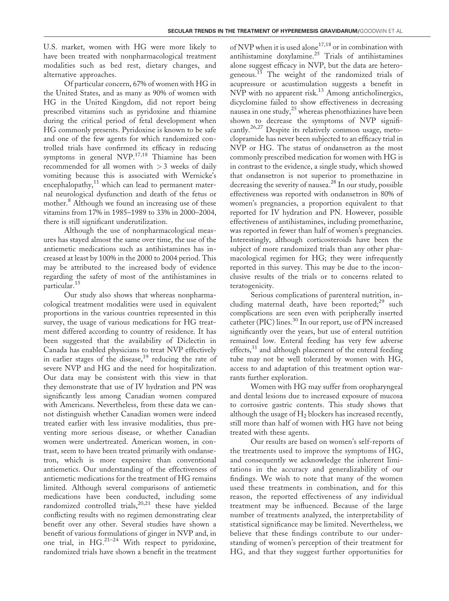U.S. market, women with HG were more likely to have been treated with nonpharmacological treatment modalities such as bed rest, dietary changes, and alternative approaches.

Of particular concern, 67% of women with HG in the United States, and as many as 90% of women with HG in the United Kingdom, did not report being prescribed vitamins such as pyridoxine and thiamine during the critical period of fetal development when HG commonly presents. Pyridoxine is known to be safe and one of the few agents for which randomized controlled trials have confirmed its efficacy in reducing symptoms in general NVP.<sup>17,18</sup> Thiamine has been recommended for all women with > 3 weeks of daily vomiting because this is associated with Wernicke's encephalopathy, $11$  which can lead to permanent maternal neurological dysfunction and death of the fetus or mother.<sup>8</sup> Although we found an increasing use of these vitamins from 17% in 1985–1989 to 33% in 2000–2004, there is still significant underutilization.

Although the use of nonpharmacological measures has stayed almost the same over time, the use of the antiemetic medications such as antihistamines has increased at least by 100% in the 2000 to 2004 period. This may be attributed to the increased body of evidence regarding the safety of most of the antihistamines in particular. 15

Our study also shows that whereas nonpharmacological treatment modalities were used in equivalent proportions in the various countries represented in this survey, the usage of various medications for HG treatment differed according to country of residence. It has been suggested that the availability of Diclectin in Canada has enabled physicians to treat NVP effectively in earlier stages of the disease,<sup>19</sup> reducing the rate of severe NVP and HG and the need for hospitalization. Our data may be consistent with this view in that they demonstrate that use of IV hydration and PN was significantly less among Canadian women compared with Americans. Nevertheless, from these data we cannot distinguish whether Canadian women were indeed treated earlier with less invasive modalities, thus preventing more serious disease, or whether Canadian women were undertreated. American women, in contrast, seem to have been treated primarily with ondansetron, which is more expensive than conventional antiemetics. Our understanding of the effectiveness of antiemetic medications for the treatment of HG remains limited. Although several comparisons of antiemetic medications have been conducted, including some randomized controlled trials,<sup>20,21</sup> these have yielded conflicting results with no regimen demonstrating clear benefit over any other. Several studies have shown a benefit of various formulations of ginger in NVP and, in one trial, in HG. $^{21-24}$  With respect to pyridoxine, randomized trials have shown a benefit in the treatment

of NVP when it is used alone<sup>17,18</sup> or in combination with antihistamine doxylamine. <sup>25</sup> Trials of antihistamines alone suggest efficacy in NVP, but the data are heterogeneous. <sup>15</sup> The weight of the randomized trials of acupressure or acustimulation suggests a benefit in  $NVP$  with no apparent risk.<sup>13</sup> Among anticholinergics, dicyclomine failed to show effectiveness in decreasing nausea in one study,<sup>25</sup> whereas phenothiazines have been shown to decrease the symptoms of NVP significantly.<sup>26,27</sup> Despite its relatively common usage, metoclopramide has never been subjected to an efficacy trial in NVP or HG. The status of ondansetron as the most commonly prescribed medication for women with HG is in contrast to the evidence, a single study, which showed that ondansetron is not superior to promethazine in decreasing the severity of nausea. <sup>28</sup> In our study, possible effectiveness was reported with ondansetron in 80% of women's pregnancies, a proportion equivalent to that reported for IV hydration and PN. However, possible effectiveness of antihistamines, including promethazine, was reported in fewer than half of women's pregnancies. Interestingly, although corticosteroids have been the subject of more randomized trials than any other pharmacological regimen for HG; they were infrequently reported in this survey. This may be due to the inconclusive results of the trials or to concerns related to teratogenicity.

Serious complications of parenteral nutrition, including maternal death, have been reported;<sup>29</sup> such complications are seen even with peripherally inserted catheter (PIC) lines.<sup>30</sup> In our report, use of PN increased significantly over the years, but use of enteral nutrition remained low. Enteral feeding has very few adverse effects, $31$  and although placement of the enteral feeding tube may not be well tolerated by women with HG, access to and adaptation of this treatment option warrants further exploration.

Women with HG may suffer from oropharyngeal and dental lesions due to increased exposure of mucosa to corrosive gastric contents. This study shows that although the usage of  $H_2$  blockers has increased recently, still more than half of women with HG have not being treated with these agents.

Our results are based on women's self-reports of the treatments used to improve the symptoms of HG, and consequently we acknowledge the inherent limitations in the accuracy and generalizability of our findings. We wish to note that many of the women used these treatments in combination, and for this reason, the reported effectiveness of any individual treatment may be influenced. Because of the large number of treatments analyzed, the interpretability of statistical significance may be limited. Nevertheless, we believe that these findings contribute to our understanding of women's perception of their treatment for HG, and that they suggest further opportunities for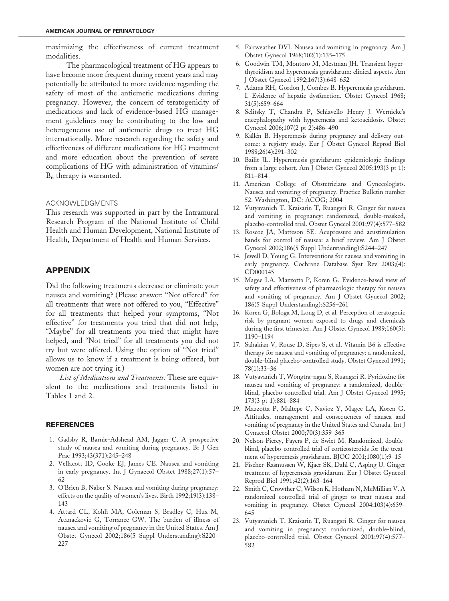maximizing the effectiveness of current treatment modalities.

The pharmacological treatment of HG appears to have become more frequent during recent years and may potentially be attributed to more evidence regarding the safety of most of the antiemetic medications during pregnancy. However, the concern of teratogenicity of medications and lack of evidence-based HG management guidelines may be contributing to the low and heterogeneous use of antiemetic drugs to treat HG internationally. More research regarding the safety and effectiveness of different medications for HG treatment and more education about the prevention of severe complications of HG with administration of vitamins/  $B<sub>6</sub>$  therapy is warranted.

### ACKNOWLEDGMENTS

This research was supported in part by the Intramural Research Program of the National Institute of Child Health and Human Development, National Institute of Health, Department of Health and Human Services.

# APPENDIX

Did the following treatments decrease or eliminate your nausea and vomiting? (Please answer: ''Not offered'' for all treatments that were not offered to you, "Effective" for all treatments that helped your symptoms, ''Not effective'' for treatments you tried that did not help, "Maybe" for all treatments you tried that might have helped, and ''Not tried'' for all treatments you did not try but were offered. Using the option of ''Not tried'' allows us to know if a treatment is being offered, but women are not trying it.)

List of Medications and Treatments: These are equivalent to the medications and treatments listed in Tables 1 and 2.

#### REFERENCES

- 1. Gadsby R, Barnie-Adshead AM, Jagger C. A prospective study of nausea and vomiting during pregnancy. Br J Gen Prac 1993;43(371):245–248
- 2. Vellacott ID, Cooke EJ, James CE. Nausea and vomiting in early pregnancy. Int J Gynaecol Obstet 1988;27(1):57– 62
- 3. O'Brien B, Naber S. Nausea and vomiting during pregnancy: effects on the quality of women's lives. Birth 1992;19(3):138– 143
- 4. Attard CL, Kohli MA, Coleman S, Bradley C, Hux M, Atanackovic G, Torrance GW. The burden of illness of nausea and vomiting of pregnancy in the United States. Am J Obstet Gynecol 2002;186(5 Suppl Understanding):S220– 227
- 5. Fairweather DVI. Nausea and vomiting in pregnancy. Am J Obstet Gynecol 1968;102(1):135–175
- 6. Goodwin TM, Montoro M, Mestman JH. Transient hyperthyroidism and hyperemesis gravidarum: clinical aspects. Am J Obstet Gynecol 1992;167(3):648–652
- 7. Adams RH, Gordon J, Combes B. Hyperemesis gravidarum. I. Evidence of hepatic dysfunction. Obstet Gynecol 1968; 31(5):659–664
- 8. Selitsky T, Chandra P, Schiavello Henry J. Wernicke's encephalopathy with hyperemesis and ketoacidosis. Obstet Gynecol 2006;107(2 pt 2):486–490
- 9. Källén B. Hyperemesis during pregnancy and delivery outcome: a registry study. Eur J Obstet Gynecol Reprod Biol 1988;26(4):291–302
- 10. Bailit JL. Hyperemesis gravidarum: epidemiologic findings from a large cohort. Am J Obstet Gynecol 2005;193(3 pt 1): 811–814
- 11. American College of Obstetricians and Gynecologists. Nausea and vomiting of pregnancy. Practice Bulletin number 52. Washington, DC: ACOG; 2004
- 12. Vutyavanich T, Kraisarin T, Ruangsri R. Ginger for nausea and vomiting in pregnancy: randomized, double-masked, placebo-controlled trial. Obstet Gynecol 2001;97(4):577–582
- 13. Roscoe JA, Matteson SE. Acupressure and acustimulation bands for control of nausea: a brief review. Am J Obstet Gynecol 2002;186(5 Suppl Understanding):S244–247
- 14. Jewell D, Young G. Interventions for nausea and vomiting in early pregnancy. Cochrane Database Syst Rev 2003;(4): CD000145
- 15. Magee LA, Mazzotta P, Koren G. Evidence-based view of safety and effectiveness of pharmacologic therapy for nausea and vomiting of pregnancy. Am J Obstet Gynecol 2002; 186(5 Suppl Understanding):S256–261
- 16. Koren G, Bologa M, Long D, et al. Perception of teratogenic risk by pregnant women exposed to drugs and chemicals during the first trimester. Am J Obstet Gynecol 1989;160(5): 1190–1194
- 17. Sahakian V, Rouse D, Sipes S, et al. Vitamin B6 is effective therapy for nausea and vomiting of pregnancy: a randomized, double-blind placebo-controlled study. Obstet Gynecol 1991; 78(1):33–36
- 18. Vutyavanich T, Wongtra-ngan S, Ruangsri R. Pyridoxine for nausea and vomiting of pregnancy: a randomized, doubleblind, placebo-controlled trial. Am J Obstet Gynecol 1995; 173(3 pt 1):881–884
- 19. Mazzotta P, Maltepe C, Navioz Y, Magee LA, Koren G. Attitudes, management and consequences of nausea and vomiting of pregnancy in the United States and Canada. Int J Gynaecol Obstet 2000;70(3):359–365
- 20. Nelson-Piercy, Fayers P, de Swiet M. Randomized, doubleblind, placebo-controlled trial of corticosteroids for the treatment of hyperemesis gravidarum. BJOG 2001;1080(1):9–15
- 21. Fischer-Rasmussen W, Kjaer SK, Dahl C, Asping U. Ginger treatment of hyperemesis gravidarum. Eur J Obstet Gynecol Reprod Biol 1991;42(2):163–164
- 22. Smith C, Crowther C, Wilson K, Hotham N, McMillian V. A randomized controlled trial of ginger to treat nausea and vomiting in pregnancy. Obstet Gynecol 2004;103(4):639– 645
- 23. Vutyavanich T, Kraisarin T, Ruangsri R. Ginger for nausea and vomiting in pregnancy: randomized, double-blind, placebo-controlled trial. Obstet Gynecol 2001;97(4):577– 582